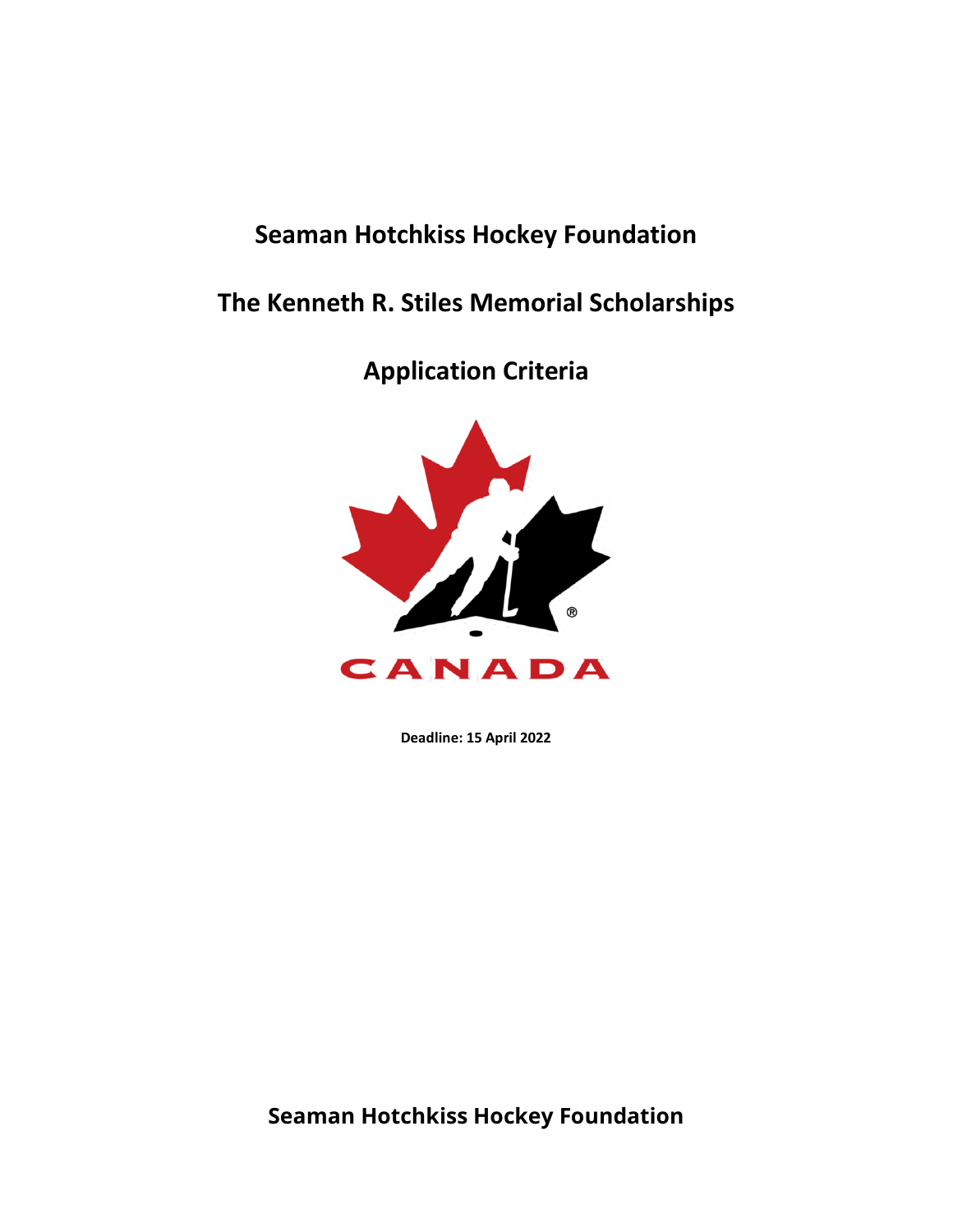## **Seaman Hotchkiss Hockey Foundation**

# **The Kenneth R. Stiles Memorial Scholarships**

**Application Criteria**



**Deadline: 15 April 2022**

**Seaman Hotchkiss Hockey Foundation**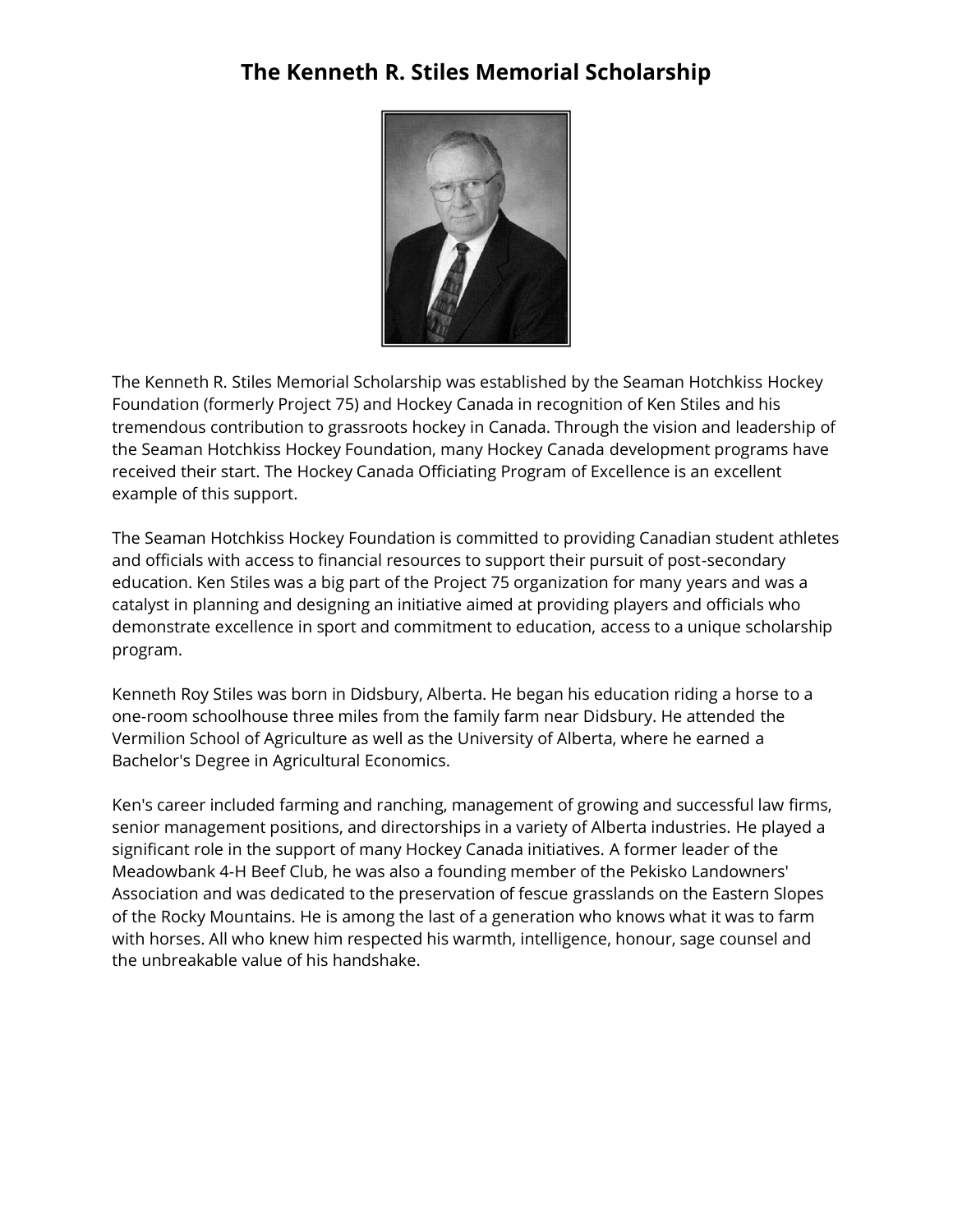### **The Kenneth R. Stiles Memorial Scholarship**



The Kenneth R. Stiles Memorial Scholarship was established by the Seaman Hotchkiss Hockey Foundation (formerly Project 75) and Hockey Canada in recognition of Ken Stiles and his tremendous contribution to grassroots hockey in Canada. Through the vision and leadership of the Seaman Hotchkiss Hockey Foundation, many Hockey Canada development programs have received their start. The Hockey Canada Officiating Program of Excellence is an excellent example of this support.

The Seaman Hotchkiss Hockey Foundation is committed to providing Canadian student athletes and officials with access to financial resources to support their pursuit of post-secondary education. Ken Stiles was a big part of the Project 75 organization for many years and was a catalyst in planning and designing an initiative aimed at providing players and officials who demonstrate excellence in sport and commitment to education, access to a unique scholarship program.

Kenneth Roy Stiles was born in Didsbury, Alberta. He began his education riding a horse to a one-room schoolhouse three miles from the family farm near Didsbury. He attended the Vermilion School of Agriculture as well as the University of Alberta, where he earned a Bachelor's Degree in Agricultural Economics.

Ken's career included farming and ranching, management of growing and successful law firms, senior management positions, and directorships in a variety of Alberta industries. He played a significant role in the support of many Hockey Canada initiatives. A former leader of the Meadowbank 4-H Beef Club, he was also a founding member of the Pekisko Landowners' Association and was dedicated to the preservation of fescue grasslands on the Eastern Slopes of the Rocky Mountains. He is among the last of a generation who knows what it was to farm with horses. All who knew him respected his warmth, intelligence, honour, sage counsel and the unbreakable value of his handshake.